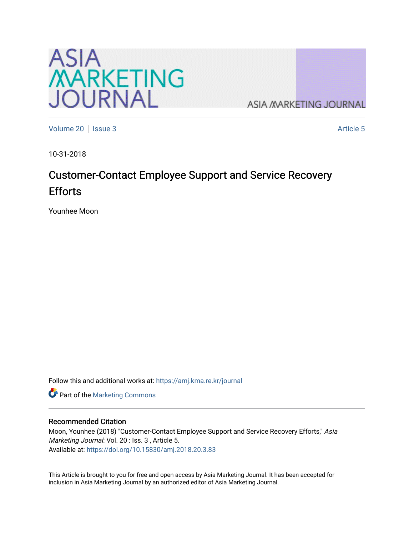

**ASIA MARKETING JOURNAL** 

[Volume 20](https://amj.kma.re.kr/journal/vol20) | [Issue 3](https://amj.kma.re.kr/journal/vol20/iss3) Article 5

10-31-2018

# Customer-Contact Employee Support and Service Recovery Efforts

Younhee Moon

Follow this and additional works at: [https://amj.kma.re.kr/journal](https://amj.kma.re.kr/journal?utm_source=amj.kma.re.kr%2Fjournal%2Fvol20%2Fiss3%2F5&utm_medium=PDF&utm_campaign=PDFCoverPages) 

Part of the [Marketing Commons](http://network.bepress.com/hgg/discipline/638?utm_source=amj.kma.re.kr%2Fjournal%2Fvol20%2Fiss3%2F5&utm_medium=PDF&utm_campaign=PDFCoverPages)

## Recommended Citation

Moon, Younhee (2018) "Customer-Contact Employee Support and Service Recovery Efforts," Asia Marketing Journal: Vol. 20 : Iss. 3, Article 5. Available at:<https://doi.org/10.15830/amj.2018.20.3.83>

This Article is brought to you for free and open access by Asia Marketing Journal. It has been accepted for inclusion in Asia Marketing Journal by an authorized editor of Asia Marketing Journal.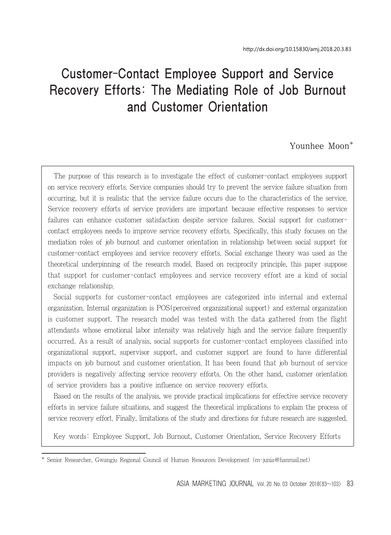# Customer-Contact Employee Support and Service Recovery Efforts: The Mediating Role of Job Burnout and Customer Orientation

## Younhee Moon\*

The purpose of this research is to investigate the effect of customer-contact employees support on service recovery efforts. Service companies should try to prevent the service failure situation from occurring, but it is realistic that the service failure occurs due to the characteristics of the service. Service recovery efforts of service providers are important because effective responses to service failures can enhance customer satisfaction despite service failures. Social support for customercontact employees needs to improve service recovery efforts. Specifically, this study focuses on the mediation roles of job burnout and customer orientation in relationship between social support for customer-contact employees and service recovery efforts. Social exchange theory was used as the theoretical underpinning of the research model. Based on reciprocity principle, this paper suppose that support for customer-contact employees and service recovery effort are a kind of social exchange relationship.

Social supports for customer-contact employees are categorized into internal and external organization. Internal organization is POS(perceived organizational support) and external organization is customer support. The research model was tested with the data gathered from the flight attendants whose emotional labor intensity was relatively high and the service failure frequently occurred. As a result of analysis, social supports for customer-contact employees classified into organizational support, supervisor support, and customer support are found to have differential impacts on job burnout and customer orientation. It has been found that job burnout of service providers is negatively affecting service recovery efforts. On the other hand, customer orientation of service providers has a positive influence on service recovery efforts.

Based on the results of the analysis, we provide practical implications for effective service recovery efforts in service failure situations, and suggest the theoretical implications to explain the process of service recovery effort. Finally, limitations of the study and directions for future research are suggested.

Key words: Employee Support, Job Burnout, Customer Orientation, Service Recovery Efforts

Senior Researcher, Gwangju Regional Council of Human Resources Development (m-junia@hanmail.net)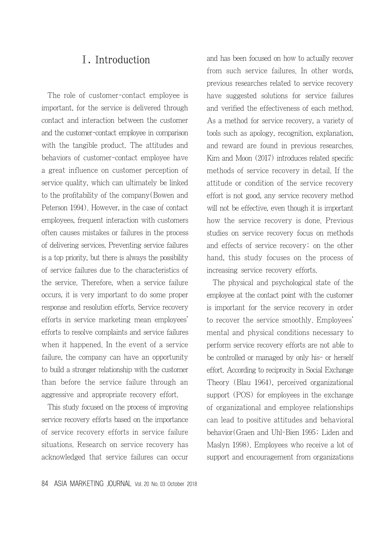# Ⅰ. Introduction

The role of customer-contact employee is important, for the service is delivered through contact and interaction between the customer and the customer-contact employee in comparison with the tangible product. The attitudes and behaviors of customer-contact employee have a great influence on customer perception of service quality, which can ultimately be linked to the profitability of the company(Bowen and Peterson 1994). However, in the case of contact employees, frequent interaction with customers often causes mistakes or failures in the process of delivering services. Preventing service failures is a top priority, but there is always the possibility of service failures due to the characteristics of the service. Therefore, when a service failure occurs, it is very important to do some proper response and resolution efforts. Service recovery efforts in service marketing mean employees' efforts to resolve complaints and service failures when it happened. In the event of a service failure, the company can have an opportunity to build a stronger relationship with the customer than before the service failure through an aggressive and appropriate recovery effort.

This study focused on the process of improving service recovery efforts based on the importance of service recovery efforts in service failure situations. Research on service recovery has acknowledged that service failures can occur and has been focused on how to actually recover from such service failures. In other words, previous researches related to service recovery have suggested solutions for service failures and verified the effectiveness of each method. As a method for service recovery, a variety of tools such as apology, recognition, explanation, and reward are found in previous researches. Kim and Moon (2017) introduces related specific methods of service recovery in detail. If the attitude or condition of the service recovery effort is not good, any service recovery method will not be effective, even though it is important how the service recovery is done. Previous studies on service recovery focus on methods and effects of service recovery; on the other hand, this study focuses on the process of increasing service recovery efforts.

The physical and psychological state of the employee at the contact point with the customer is important for the service recovery in order to recover the service smoothly. Employees' mental and physical conditions necessary to perform service recovery efforts are not able to be controlled or managed by only his- or herself effort. According to reciprocity in Social Exchange Theory (Blau 1964), perceived organizational support (POS) for employees in the exchange of organizational and employee relationships can lead to positive attitudes and behavioral behavior(Graen and Uhl-Bien 1995; Liden and Maslyn 1998). Employees who receive a lot of support and encouragement from organizations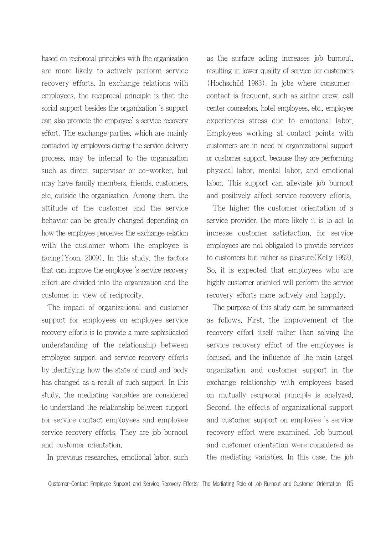based on reciprocal principles with the organization are more likely to actively perform service recovery efforts. In exchange relations with employees, the reciprocal principle is that the social support besides the organization 's support can also promote the employee' s service recovery effort. The exchange parties, which are mainly contacted by employees during the service delivery process, may be internal to the organization such as direct supervisor or co-worker, but may have family members, friends, customers, etc. outside the organization. Among them, the attitude of the customer and the service behavior can be greatly changed depending on how the employee perceives the exchange relation with the customer whom the employee is facing(Yoon, 2009). In this study, the factors that can improve the employee 's service recovery effort are divided into the organization and the customer in view of reciprocity.

The impact of organizational and customer support for employees on employee service recovery efforts is to provide a more sophisticated understanding of the relationship between employee support and service recovery efforts by identifying how the state of mind and body has changed as a result of such support. In this study, the mediating variables are considered to understand the relationship between support for service contact employees and employee service recovery efforts. They are job burnout and customer orientation.

In previous researches, emotional labor, such

as the surface acting increases job burnout, resulting in lower quality of service for customers (Hochschild 1983). In jobs where consumercontact is frequent, such as airline crew, call center counselors, hotel employees, etc., employee experiences stress due to emotional labor. Employees working at contact points with customers are in need of organizational support or customer support, because they are performing physical labor, mental labor, and emotional labor. This support can alleviate job burnout and positively affect service recovery efforts.

The higher the customer orientation of a service provider, the more likely it is to act to increase customer satisfaction, for service employees are not obligated to provide services to customers but rather as pleasure(Kelly 1992). So, it is expected that employees who are highly customer oriented will perform the service recovery efforts more actively and happily.

The purpose of this study cam be summarized as follows. First, the improvement of the recovery effort itself rather than solving the service recovery effort of the employees is focused, and the influence of the main target organization and customer support in the exchange relationship with employees based on mutually reciprocal principle is analyzed. Second, the effects of organizational support and customer support on employee 's service recovery effort were examined. Job burnout and customer orientation were considered as the mediating variables. In this case, the job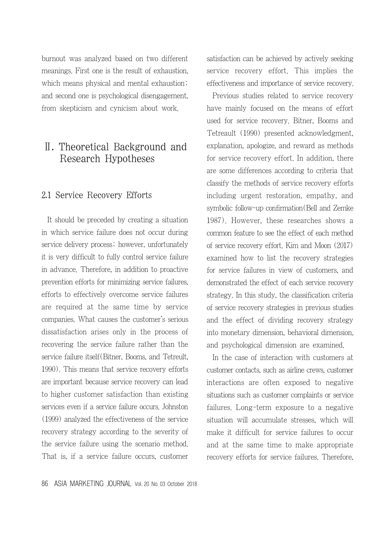burnout was analyzed based on two different meanings. First one is the result of exhaustion, which means physical and mental exhaustion; and second one is psychological disengagement, from skepticism and cynicism about work.

# Ⅱ. Theoretical Background and Research Hypotheses

## 2.1 Service Recovery Efforts

It should be preceded by creating a situation in which service failure does not occur during service delivery process; however, unfortunately it is very difficult to fully control service failure in advance. Therefore, in addition to proactive prevention efforts for minimizing service failures, efforts to effectively overcome service failures are required at the same time by service companies. What causes the customer's serious dissatisfaction arises only in the process of recovering the service failure rather than the service failure itself(Bitner, Booms, and Tetreult, 1990). This means that service recovery efforts are important because service recovery can lead to higher customer satisfaction than existing services even if a service failure occurs. Johnston (1999) analyzed the effectiveness of the service recovery strategy according to the severity of the service failure using the scenario method. That is, if a service failure occurs, customer satisfaction can be achieved by actively seeking service recovery effort. This implies the effectiveness and importance of service recovery.

Previous studies related to service recovery have mainly focused on the means of effort used for service recovery. Bitner, Booms and Tetreault (1990) presented acknowledgment, explanation, apologize, and reward as methods for service recovery effort. In addition, there are some differences according to criteria that classify the methods of service recovery efforts including urgent restoration, empathy, and symbolic follow-up confirmation(Bell and Zemke 1987). However, these researches shows a common feature to see the effect of each method of service recovery effort. Kim and Moon (2017) examined how to list the recovery strategies for service failures in view of customers, and demonstrated the effect of each service recovery strategy. In this study, the classification criteria of service recovery strategies in previous studies and the effect of dividing recovery strategy into monetary dimension, behavioral dimension, and psychological dimension are examined.

In the case of interaction with customers at customer contacts, such as airline crews, customer interactions are often exposed to negative situations such as customer complaints or service failures. Long-term exposure to a negative situation will accumulate stresses, which will make it difficult for service failures to occur and at the same time to make appropriate recovery efforts for service failures. Therefore,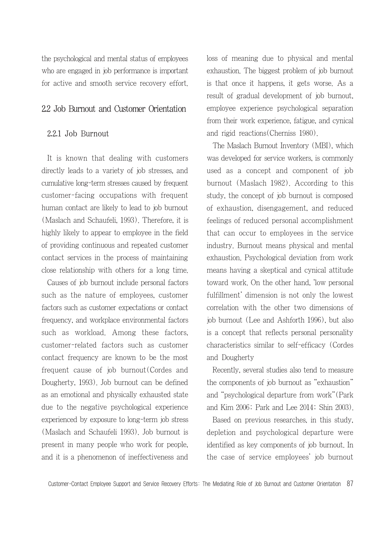the psychological and mental status of employees who are engaged in job performance is important for active and smooth service recovery effort.

## 2.2 Job Burnout and Customer Orientation

#### 2.2.1 Job Burnout

It is known that dealing with customers directly leads to a variety of job stresses, and cumulative long-term stresses caused by frequent customer-facing occupations with frequent human contact are likely to lead to job burnout (Maslach and Schaufeli, 1993). Therefore, it is highly likely to appear to employee in the field of providing continuous and repeated customer contact services in the process of maintaining close relationship with others for a long time.

Causes of job burnout include personal factors such as the nature of employees, customer factors such as customer expectations or contact frequency, and workplace environmental factors such as workload. Among these factors, customer-related factors such as customer contact frequency are known to be the most frequent cause of job burnout(Cordes and Dougherty, 1993). Job burnout can be defined as an emotional and physically exhausted state due to the negative psychological experience experienced by exposure to long-term job stress (Maslach and Schaufeli 1993). Job burnout is present in many people who work for people, and it is a phenomenon of ineffectiveness and loss of meaning due to physical and mental exhaustion. The biggest problem of job burnout is that once it happens, it gets worse. As a result of gradual development of job burnout, employee experience psychological separation from their work experience, fatigue, and cynical and rigid reactions(Cherniss 1980).

The Maslach Burnout Inventory (MBI), which was developed for service workers, is commonly used as a concept and component of job burnout (Maslach 1982). According to this study, the concept of job burnout is composed of exhaustion, disengagement, and reduced feelings of reduced personal accomplishment that can occur to employees in the service industry. Burnout means physical and mental exhaustion. Psychological deviation from work means having a skeptical and cynical attitude toward work. On the other hand, 'low personal fulfillment' dimension is not only the lowest correlation with the other two dimensions of job burnout (Lee and Ashforth 1996), but also is a concept that reflects personal personality characteristics similar to self-efficacy (Cordes and Dougherty

Recently, several studies also tend to measure the components of job burnout as "exhaustion" and "psychological departure from work"(Park and Kim 2006; Park and Lee 2014; Shin 2003).

Based on previous researches, in this study, depletion and psychological departure were identified as key components of job burnout. In the case of service employees' job burnout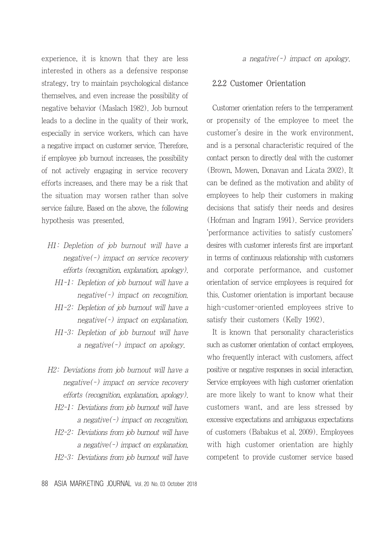experience, it is known that they are less interested in others as a defensive response strategy, try to maintain psychological distance themselves, and even increase the possibility of negative behavior (Maslach 1982). Job burnout leads to a decline in the quality of their work, especially in service workers, which can have a negative impact on customer service. Therefore, if employee job burnout increases, the possibility of not actively engaging in service recovery efforts increases, and there may be a risk that the situation may worsen rather than solve service failure. Based on the above, the following hypothesis was presented.

- H1: Depletion of job burnout will have a negative(-) impact on service recovery efforts (recognition, explanation, apology).
	- H1-1: Depletion of job burnout will have a negative(-) impact on recognition.
	- H1-2: Depletion of job burnout will have a negative(-) impact on explanation.
	- H1-3: Depletion of job burnout will have a negative( $\overline{\cdot}$ ) impact on apology.
- H2: Deviations from job burnout will have a negative(-) impact on service recovery efforts (recognition, explanation, apology).
	- H2-1: Deviations from job burnout will have a negative(-) impact on recognition.
	- H2-2: Deviations from job burnout will have a negative(-) impact on explanation.
	- H2-3: Deviations from job burnout will have

a negative(-) impact on apology.

## 2.2.2 Customer Orientation

Customer orientation refers to the temperament or propensity of the employee to meet the customer's desire in the work environment, and is a personal characteristic required of the contact person to directly deal with the customer (Brown, Mowen, Donavan and Licata 2002). It can be defined as the motivation and ability of employees to help their customers in making decisions that satisfy their needs and desires (Hofman and Ingram 1991). Service providers 'performance activities to satisfy customers' desires with customer interests first are important in terms of continuous relationship with customers and corporate performance, and customer orientation of service employees is required for this. Customer orientation is important because high-customer-oriented employees strive to satisfy their customers (Kelly 1992).

It is known that personality characteristics such as customer orientation of contact employees, who frequently interact with customers, affect positive or negative responses in social interaction. Service employees with high customer orientation are more likely to want to know what their customers want, and are less stressed by excessive expectations and ambiguous expectations of customers (Babakus et al. 2009). Employees with high customer orientation are highly competent to provide customer service based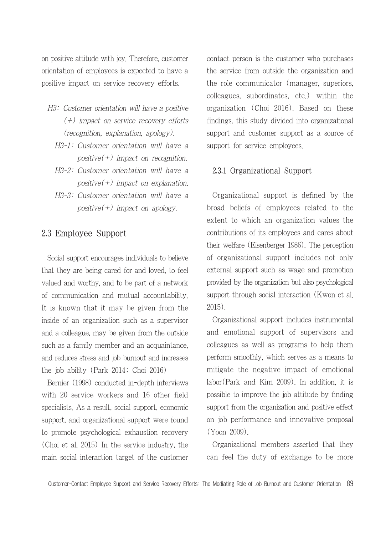on positive attitude with joy. Therefore, customer orientation of employees is expected to have a positive impact on service recovery efforts.

- H3: Customer orientation will have a positive  $(+)$  impact on service recovery efforts (recognition, explanation, apology).
	- H3-1: Customer orientation will have a  $positive(+)$  impact on recognition.
	- H3-2: Customer orientation will have a positive( $+$ ) impact on explanation.
	- H3-3: Customer orientation will have a  $positive(+)$  impact on apology.

## 2.3 Employee Support

Social support encourages individuals to believe that they are being cared for and loved, to feel valued and worthy, and to be part of a network of communication and mutual accountability. It is known that it may be given from the inside of an organization such as a supervisor and a colleague, may be given from the outside such as a family member and an acquaintance, and reduces stress and job burnout and increases the job ability (Park 2014; Choi 2016)

Bernier (1998) conducted in-depth interviews with 20 service workers and 16 other field specialists. As a result, social support, economic support, and organizational support were found to promote psychological exhaustion recovery (Choi et al. 2015) In the service industry, the main social interaction target of the customer contact person is the customer who purchases the service from outside the organization and the role communicator (manager, superiors, colleagues, subordinates, etc.) within the organization (Choi 2016). Based on these findings, this study divided into organizational support and customer support as a source of support for service employees.

## 2.3.1 Organizational Support

Organizational support is defined by the broad beliefs of employees related to the extent to which an organization values the contributions of its employees and cares about their welfare (Eisenberger 1986). The perception of organizational support includes not only external support such as wage and promotion provided by the organization but also psychological support through social interaction (Kwon et al. 2015).

Organizational support includes instrumental and emotional support of supervisors and colleagues as well as programs to help them perform smoothly, which serves as a means to mitigate the negative impact of emotional labor(Park and Kim 2009). In addition, it is possible to improve the job attitude by finding support from the organization and positive effect on job performance and innovative proposal (Yoon 2009).

Organizational members asserted that they can feel the duty of exchange to be more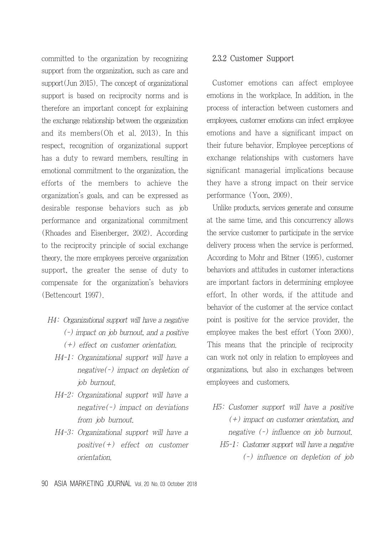committed to the organization by recognizing support from the organization, such as care and support(Jun 2015). The concept of organizational support is based on reciprocity norms and is therefore an important concept for explaining the exchange relationship between the organization and its members(Oh et al. 2013). In this respect, recognition of organizational support has a duty to reward members, resulting in emotional commitment to the organization, the efforts of the members to achieve the organization's goals, and can be expressed as desirable response behaviors such as job performance and organizational commitment (Rhoades and Eisenberger, 2002). According to the reciprocity principle of social exchange theory, the more employees perceive organization support, the greater the sense of duty to compensate for the organization's behaviors (Bettencourt 1997).

- H4: Organizational support will have a negative (-) impact on job burnout, and a positive (+) effect on customer orientation.
	- H4-1: Organizational support will have a negative(-) impact on depletion of job burnout.
	- H4-2: Organizational support will have a negative( $-$ ) impact on deviations from job burnout.
	- H4-3: Organizational support will have a  $positive(+)$  effect on customer orientation.

## 2.3.2 Customer Support

Customer emotions can affect employee emotions in the workplace. In addition, in the process of interaction between customers and employees, customer emotions can infect employee emotions and have a significant impact on their future behavior. Employee perceptions of exchange relationships with customers have significant managerial implications because they have a strong impact on their service performance (Yoon, 2009).

Unlike products, services generate and consume at the same time, and this concurrency allows the service customer to participate in the service delivery process when the service is performed. According to Mohr and Bitner (1995), customer behaviors and attitudes in customer interactions are important factors in determining employee effort. In other words, if the attitude and behavior of the customer at the service contact point is positive for the service provider, the employee makes the best effort (Yoon 2000). This means that the principle of reciprocity can work not only in relation to employees and organizations, but also in exchanges between employees and customers.

H5: Customer support will have a positive (+) impact on customer orientation, and negative (-) influence on job burnout. H5-1: Customer support will have a negative (-) influence on depletion of job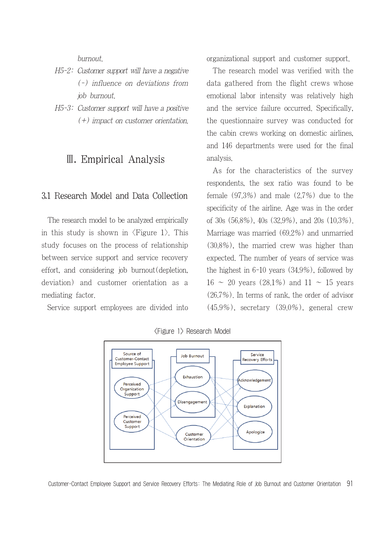burnout.

- H5-2: Customer support will have a negative (-) influence on deviations from job burnout.
- H5-3: Customer support will have a positive (+) impact on customer orientation.

# Ⅲ. Empirical Analysis

## 3.1 Research Model and Data Collection

The research model to be analyzed empirically in this study is shown in  $\langle$ Figure 1 $\rangle$ . This study focuses on the process of relationship between service support and service recovery effort, and considering job burnout(depletion, deviation) and customer orientation as a mediating factor.

Service support employees are divided into

organizational support and customer support.

The research model was verified with the data gathered from the flight crews whose emotional labor intensity was relatively high and the service failure occurred. Specifically, the questionnaire survey was conducted for the cabin crews working on domestic airlines, and 146 departments were used for the final analysis.

As for the characteristics of the survey respondents, the sex ratio was found to be female (97.3%) and male (2.7%) due to the specificity of the airline. Age was in the order of 30s (56.8%), 40s (32.9%), and 20s (10.3%). Marriage was married (69.2%) and unmarried (30.8%), the married crew was higher than expected. The number of years of service was the highest in 6-10 years (34.9%), followed by  $16 \sim 20$  years (28.1%) and  $11 \sim 15$  years (26.7%). In terms of rank, the order of advisor  $(45.9\%)$ , secretary  $(39.0\%)$ , general crew



<Figure 1> Research Model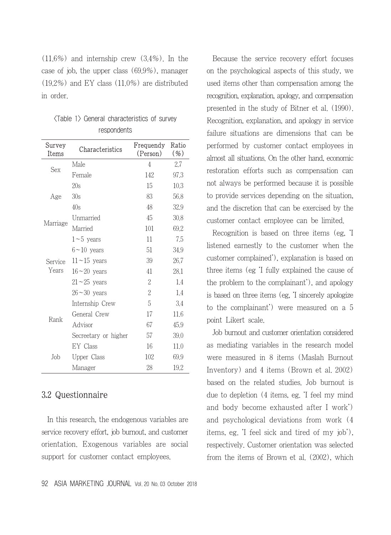(11.6%) and internship crew (3.4%). In the case of job, the upper class (69.9%), manager (19.2%) and EY class (11.0%) are distributed in order.

| Survey<br>Items | Characteristics      | Frequendy<br>(Person) | Ratio<br>( %) |
|-----------------|----------------------|-----------------------|---------------|
| Sex             | Male                 | 4                     | 2.7           |
|                 | Female               | 142                   | 97.3          |
|                 | 20s                  | 15                    | 10.3          |
| Age             | 30s                  | 83                    | 56.8          |
|                 | 40s                  | 48                    | 32.9          |
|                 | Unmarried            | 45                    | 30,8          |
| Marriage        | Married              | 101                   | 69.2          |
|                 | $1\neg 5$ years      | 11                    | 7.5           |
|                 | $6 \sim 10$ years    | 51                    | 34.9          |
| Service         | $11 - 15$ years      | 39                    | 26.7          |
| Years           | $16 \sim 20$ years   | 41                    | 28.1          |
|                 | $21 - 25$ years      | 2                     | 1.4           |
|                 | $26 \sim 30$ years   | 2                     | 1.4           |
| Rank<br>Job     | Internship Crew      | 5                     | 3.4           |
|                 | General Crew         | 17                    | 11.6          |
|                 | Advisor              | 67                    | 45.9          |
|                 | Secreetary or higher | 57                    | 39.0          |
|                 | EY Class             | 16                    | 11.0          |
|                 | <b>Upper Class</b>   | 102                   | 69.9          |
|                 | Manager              | 28                    | 19.2          |

|             |  |  | <table 1=""> General characteristics of survey</table> |  |  |  |  |  |  |
|-------------|--|--|--------------------------------------------------------|--|--|--|--|--|--|
| respondents |  |  |                                                        |  |  |  |  |  |  |

## 3.2 Questionnaire

In this research, the endogenous variables are service recovery effort, job burnout, and customer orientation. Exogenous variables are social support for customer contact employees.

92 ASIA MARKETING JOURNAL Vol. 20 No. 03 October 2018

Because the service recovery effort focuses on the psychological aspects of this study, we used items other than compensation among the recognition, explanation, apology, and compensation presented in the study of Bitner et al. (1990). Recognition, explanation, and apology in service failure situations are dimensions that can be performed by customer contact employees in almost all situations. On the other hand, economic restoration efforts such as compensation can not always be performed because it is possible to provide services depending on the situation, and the discretion that can be exercised by the customer contact employee can be limited.

Recognition is based on three items (eg, 'I listened earnestly to the customer when the customer complained'), explanation is based on three items (eg 'I fully explained the cause of the problem to the complainant'), and apology is based on three items (eg, 'I sincerely apologize to the complainant') were measured on a 5 point Likert scale.

Job burnout and customer orientation considered as mediating variables in the research model were measured in 8 items (Maslah Burnout Inventory) and 4 items (Brown et al. 2002) based on the related studies. Job burnout is due to depletion (4 items, eg. 'I feel my mind and body become exhausted after I work') and psychological deviations from work (4 items, eg. 'I feel sick and tired of my job'), respectively. Customer orientation was selected from the items of Brown et al. (2002), which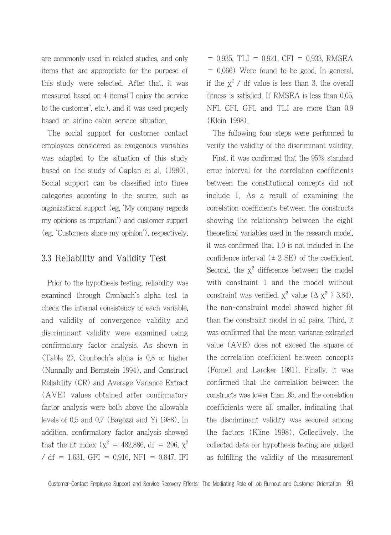are commonly used in related studies, and only items that are appropriate for the purpose of this study were selected. After that, it was measured based on 4 items('I enjoy the service to the customer', etc.), and it was used properly based on airline cabin service situation.

The social support for customer contact employees considered as exogenous variables was adapted to the situation of this study based on the study of Caplan et al. (1980). Social support can be classified into three categories according to the source, such as organizational support (eg, 'My company regards my opinions as important') and customer support (eg, 'Customers share my opinion'), respectively.

## 3.3 Reliability and Validity Test

Prior to the hypothesis testing, reliability was examined through Cronbach's alpha test to check the internal consistency of each variable, and validity of convergence validity and discriminant validity were examined using confirmatory factor analysis. As shown in  $\langle$ Table 2 $\rangle$ , Cronbach's alpha is 0.8 or higher (Nunnally and Bernstein 1994), and Construct Reliability (CR) and Average Variance Extract (AVE) values obtained after confirmatory factor analysis were both above the allowable levels of 0.5 and 0.7 (Bagozzi and Yi 1988). In addition, confirmatory factor analysis showed that the fit index ( $\chi^2 = 482.886$ , df = 296,  $\chi^2$ / df = 1.631, GFI = 0.916, NFI = 0.847, IFI

= 0.935, TLI = 0.921, CFI = 0.933, RMSEA  $= 0.066$ ) Were found to be good. In general, if the  $x^2$  / df value is less than 3, the overall fitness is satisfied. If RMSEA is less than 0.05, NFI, CFI, GFI, and TLI are more than 0.9 (Klein 1998).

The following four steps were performed to verify the validity of the discriminant validity.

First, it was confirmed that the 95% standard error interval for the correlation coefficients between the constitutional concepts did not include 1. As a result of examining the correlation coefficients between the constructs showing the relationship between the eight theoretical variables used in the research model, it was confirmed that 1.0 is not included in the confidence interval  $(\pm 2 \text{ SE})$  of the coefficient. Second, the  $x^2$  difference between the model with constraint 1 and the model without constraint was verified.  $\chi^2$  value ( $\Delta \chi^2$ ) 3.84), the non-constraint model showed higher fit than the constraint model in all pairs. Third, it was confirmed that the mean variance extracted value (AVE) does not exceed the square of the correlation coefficient between concepts (Fornell and Larcker 1981). Finally, it was confirmed that the correlation between the constructs was lower than .85, and the correlation coefficients were all smaller, indicating that the discriminant validity was secured among the factors (Kline 1998). Collectively, the collected data for hypothesis testing are judged as fulfilling the validity of the measurement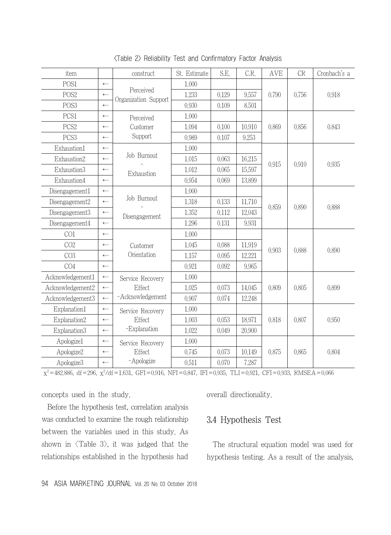| item             |                  | construct            | St. Estimate | S.E.  | C.R.   | AVE   | CR    | Cronbach's a |  |
|------------------|------------------|----------------------|--------------|-------|--------|-------|-------|--------------|--|
| POS1             | $\leftarrow$     |                      | 1,000        |       |        |       | 0.756 | 0.918        |  |
| POS <sub>2</sub> | $\leftarrow$     | Perceived            | 1.233        | 0.129 | 9,557  | 0.790 |       |              |  |
| POS <sub>3</sub> | $\leftarrow$     | Organization Support | 0.930        | 0.109 | 8,501  |       |       |              |  |
| PCS1             | $\leftarrow$     | Perceived            | 1,000        |       |        | 0.869 | 0.856 | 0.843        |  |
| PCS <sub>2</sub> | $\leftarrow$     | Customer             | 1.094        | 0.100 | 10,910 |       |       |              |  |
| PCS <sub>3</sub> | $\leftarrow$     | Support              | 0.989        | 0.107 | 9,253  |       |       |              |  |
| Exhaustion1      | $\leftarrow$     |                      | 1,000        |       |        |       |       | 0.935        |  |
| Exhaustion2      | $\leftarrow$     | Job Burnout          | 1.015        | 0.063 | 16.215 |       | 0.910 |              |  |
| Exhaustion3      | $\leftarrow$     | Exhaustion           | 1.012        | 0.065 | 15,597 | 0.915 |       |              |  |
| Exhaustion4      | $\leftarrow$     |                      | 0.954        | 0.069 | 13,899 |       |       |              |  |
| Disengagement1   | $\leftarrow$     |                      | 1.000        |       |        | 0.859 | 0.890 | 0.888        |  |
| Disengagement2   | $\leftarrow$     | Job Burnout          | 1.318        | 0.133 | 11.710 |       |       |              |  |
| Disengagement3   | $\leftarrow$     | Disengagement        | 1.352        | 0.112 | 12,043 |       |       |              |  |
| Disengagement4   | $\leftarrow$     |                      | 1.296        | 0.131 | 9.931  |       |       |              |  |
| CO1              | $\leftarrow$     |                      | 1,000        |       |        | 0.903 | 0.888 | 0.890        |  |
| CO <sub>2</sub>  | $\longleftarrow$ | Customer             | 1.045        | 0.088 | 11,919 |       |       |              |  |
| CO <sub>3</sub>  | $\leftarrow$     | Orientation          | 1.157        | 0.095 | 12,221 |       |       |              |  |
| CO <sub>4</sub>  | $\leftarrow$     |                      | 0.921        | 0.092 | 9.965  |       |       |              |  |
| Acknowledgement1 | $\leftarrow$     | Service Recovery     | 1,000        |       |        | 0.809 | 0.805 | 0.899        |  |
| Acknowledgement2 | $\leftarrow$     | Effect               | 1.025        | 0.073 | 14,045 |       |       |              |  |
| Acknowledgement3 | $\longleftarrow$ | -Acknowledgement     | 0.907        | 0.074 | 12.248 |       |       |              |  |
| Explanation1     | $\leftarrow$     | Service Recovery     | 1,000        |       |        |       | 0.807 |              |  |
| Explanation2     | $\leftarrow$     | Effect               | 1.003        | 0.053 | 18,971 | 0.818 |       | 0.950        |  |
| Explanation3     | $\leftarrow$     | -Explanation         | 1.022        | 0.049 | 20,900 |       |       |              |  |
| Apologize1       | $\leftarrow$     | Service Recovery     | 1,000        |       |        |       | 0.865 |              |  |
| Apologize2       | $\leftarrow$     | Effect               | 0.745        | 0.073 | 10.149 | 0.875 |       | 0.804        |  |
| Apologize3       | $\leftarrow$     | -Apologize           | 0.511        | 0.070 | 7,287  |       |       |              |  |

<Table 2> Reliability Test and Confirmatory Factor Analysis

 $\chi^2$ =482.886, df=296,  $\chi^2$ /df=1.631, GFI=0.916, NFI=0.847, IFI=0.935, TLI=0.921, CFI=0.933, RMSEA=0.066

concepts used in the study.

Before the hypothesis test, correlation analysis was conducted to examine the rough relationship between the variables used in this study. As shown in  $\langle$ Table 3 $\rangle$ , it was judged that the relationships established in the hypothesis had overall directionality.

## 3.4 Hypothesis Test

The structural equation model was used for hypothesis testing. As a result of the analysis,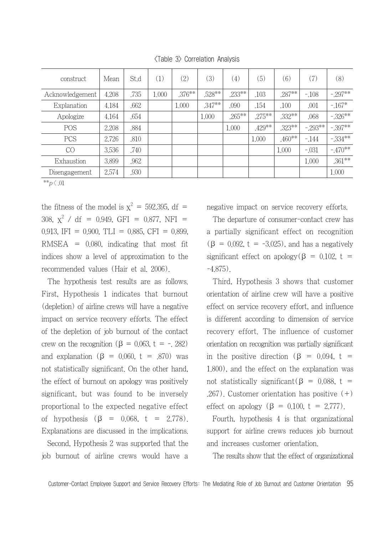| construct       | Mean  | St.d | (1)   | (2)       | (3)      | (4)       | (5)       | (6)       | (7)      | (8)      |
|-----------------|-------|------|-------|-----------|----------|-----------|-----------|-----------|----------|----------|
| Acknowledgement | 4.208 | .735 | 1,000 | $.376***$ | .528**   | .233**    | .103      | .287**    | $-108$   | $-297**$ |
| Explanation     | 4.184 | .662 |       | 1.000     | $.347**$ | .090      | .154      | .100      | ,001     | $-167*$  |
| Apologize       | 4.164 | .654 |       |           | 1,000    | $.265***$ | $.275***$ | $.332***$ | .068     | $-326**$ |
| POS             | 2.208 | .884 |       |           |          | 1,000     | .429**    | .323**    | $-293**$ | $-397**$ |
| <b>PCS</b>      | 2,726 | .810 |       |           |          |           | 1,000     | $.460**$  | $-144$   | $-334**$ |
| CO              | 3,536 | .740 |       |           |          |           |           | 1,000     | $-.031$  | $-470**$ |
| Exhaustion      | 3,899 | .962 |       |           |          |           |           |           | 1,000    | $.361**$ |
| Disengagement   | 2.574 | ,930 |       |           |          |           |           |           |          | 1,000    |

<Table 3> Correlation Analysis

\*\*p $\langle .01$ 

the fitness of the model is  $x^2 = 592.395$ , df = 308,  $\chi^2$  / df = 0.949, GFI = 0.877, NFI = 0.913, IFI = 0.900, TLI = 0.885, CFI = 0.899,  $RMSEA = 0.080$ , indicating that most fit indices show a level of approximation to the recommended values (Hair et al. 2006).

The hypothesis test results are as follows. First, Hypothesis 1 indicates that burnout (depletion) of airline crews will have a negative impact on service recovery efforts. The effect of the depletion of job burnout of the contact crew on the recognition ( $\beta = 0.063$ ,  $t = -0.282$ ) and explanation  $(\beta = 0.060, t = .870)$  was not statistically significant. On the other hand, the effect of burnout on apology was positively significant, but was found to be inversely proportional to the expected negative effect of hypothesis (β =  $0.068$ , t = 2.778). Explanations are discussed in the implications.

Second, Hypothesis 2 was supported that the job burnout of airline crews would have a negative impact on service recovery efforts.

The departure of consumer-contact crew has a partially significant effect on recognition  $(\beta = 0.092, t = -3.025)$ , and has a negatively significant effect on apology( $\beta$  = 0.102, t = -4.875).

Third, Hypothesis 3 shows that customer orientation of airline crew will have a positive effect on service recovery effort, and influence is different according to dimension of service recovery effort. The influence of customer orientation on recognition was partially significant in the positive direction ( $\beta$  = 0.094, t = 1.800), and the effect on the explanation was not statistically significant(β =  $0.088$ , t = .267). Customer orientation has positive (+) effect on apology  $(\beta = 0.100, t = 2.777)$ .

Fourth, hypothesis 4 is that organizational support for airline crews reduces job burnout and increases customer orientation.

The results show that the effect of organizational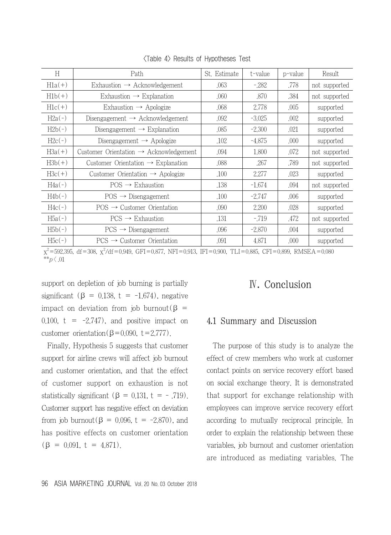| Н        | Path                                               | St. Estimate | t-value  | p-value | Result        |
|----------|----------------------------------------------------|--------------|----------|---------|---------------|
| $H1a(+)$ | Exhaustion $\rightarrow$ Acknowledgement           | .063         | $-282$   | .778    | not supported |
| $H1b(+)$ | Exhaustion $\rightarrow$ Explanation               | .060         | .870     | .384    | not supported |
| $Hlc(+)$ | Exhaustion $\rightarrow$ Apologize                 | .068         | 2,778    | .005    | supported     |
| $H2a(-)$ | Disengagement $\rightarrow$ Acknowledgement        | .092         | $-3.025$ | .002    | supported     |
| $H2b(-)$ | Disengagement $\rightarrow$ Explanation            | .085         | $-2.300$ | .021    | supported     |
| $H2c(-)$ | Disengagement $\rightarrow$ Apologize              | .102         | $-4.875$ | .000    | supported     |
| $H3a(+)$ | Customer Orientation $\rightarrow$ Acknowledgement | .094         | 1,800    | .072    | not supported |
| $H3b(+)$ | Customer Orientation $\rightarrow$ Explanation     | .088         | .267     | .789    | not supported |
| $H3c(+)$ | Customer Orientation $\rightarrow$ Apologize       | .100         | 2,277    | .023    | supported     |
| $H4a(-)$ | $POS \rightarrow$ Exhaustion                       | .138         | $-1.674$ | .094    | not supported |
| $H4b(-)$ | $POS \rightarrow Disengagement$                    | .100         | $-2.747$ | .006    | supported     |
| $H4c(-)$ | $POS \rightarrow$ Customer Orientation             | .090         | 2,200    | .028    | supported     |
| $H5a(-)$ | $PCS \rightarrow Exhaustion$                       | .131         | $-719$   | .472    | not supported |
| $H5b(-)$ | $PCS \rightarrow Disengagement$                    | .096         | $-2.870$ | .004    | supported     |
| $H5c(-)$ | $PCS \rightarrow Customer$ Orientation             | .091         | 4.871    | .000    | supported     |

<Table 4> Results of Hypotheses Test

 $\chi^2$ =592.395, df=308,  $\chi^2$ /df=0.949, GFI=0.877, NFI=0.913, IFI=0.900, TLI=0.885, CFI=0.899, RMSEA=0.080  $*^{*}p \, \langle .01$ 

support on depletion of job burning is partially significant ( $\beta$  = 0.138, t = -1.674), negative impact on deviation from job burnout(β = 0.100,  $t = -2.747$ , and positive impact on customer orientation( $\beta$ =0.090, t=2.777).

Finally, Hypothesis 5 suggests that customer support for airline crews will affect job burnout and customer orientation, and that the effect of customer support on exhaustion is not statistically significant ( $\beta = 0.131$ ,  $t = -0.719$ ). Customer support has negative effect on deviation from job burnout( $\beta$  = 0.096, t = -2.870), and has positive effects on customer orientation  $(\beta = 0.091, t = 4.871)$ .

# Ⅳ. Conclusion

## 4.1 Summary and Discussion

The purpose of this study is to analyze the effect of crew members who work at customer contact points on service recovery effort based on social exchange theory. It is demonstrated that support for exchange relationship with employees can improve service recovery effort according to mutually reciprocal principle. In order to explain the relationship between these variables, job burnout and customer orientation are introduced as mediating variables. The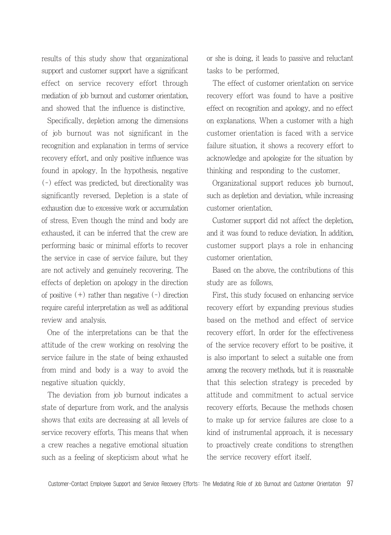results of this study show that organizational support and customer support have a significant effect on service recovery effort through mediation of job burnout and customer orientation, and showed that the influence is distinctive.

Specifically, depletion among the dimensions of job burnout was not significant in the recognition and explanation in terms of service recovery effort, and only positive influence was found in apology. In the hypothesis, negative (-) effect was predicted, but directionality was significantly reversed. Depletion is a state of exhaustion due to excessive work or accumulation of stress. Even though the mind and body are exhausted, it can be inferred that the crew are performing basic or minimal efforts to recover the service in case of service failure, but they are not actively and genuinely recovering. The effects of depletion on apology in the direction of positive  $(+)$  rather than negative  $(-)$  direction require careful interpretation as well as additional review and analysis.

One of the interpretations can be that the attitude of the crew working on resolving the service failure in the state of being exhausted from mind and body is a way to avoid the negative situation quickly.

The deviation from job burnout indicates a state of departure from work, and the analysis shows that exits are decreasing at all levels of service recovery efforts. This means that when a crew reaches a negative emotional situation such as a feeling of skepticism about what he or she is doing, it leads to passive and reluctant tasks to be performed.

The effect of customer orientation on service recovery effort was found to have a positive effect on recognition and apology, and no effect on explanations. When a customer with a high customer orientation is faced with a service failure situation, it shows a recovery effort to acknowledge and apologize for the situation by thinking and responding to the customer.

Organizational support reduces job burnout, such as depletion and deviation, while increasing customer orientation.

Customer support did not affect the depletion, and it was found to reduce deviation. In addition, customer support plays a role in enhancing customer orientation.

Based on the above, the contributions of this study are as follows.

First, this study focused on enhancing service recovery effort by expanding previous studies based on the method and effect of service recovery effort. In order for the effectiveness of the service recovery effort to be positive, it is also important to select a suitable one from among the recovery methods, but it is reasonable that this selection strategy is preceded by attitude and commitment to actual service recovery efforts. Because the methods chosen to make up for service failures are close to a kind of instrumental approach, it is necessary to proactively create conditions to strengthen the service recovery effort itself.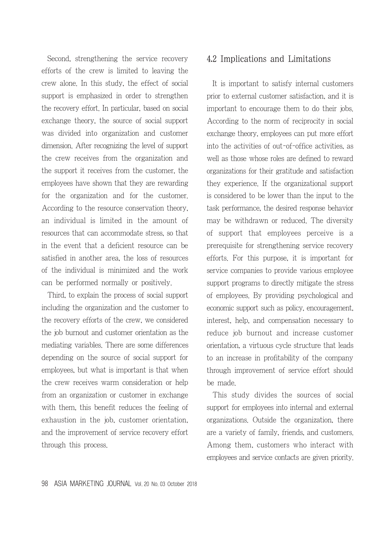Second, strengthening the service recovery efforts of the crew is limited to leaving the crew alone. In this study, the effect of social support is emphasized in order to strengthen the recovery effort. In particular, based on social exchange theory, the source of social support was divided into organization and customer dimension. After recognizing the level of support the crew receives from the organization and the support it receives from the customer, the employees have shown that they are rewarding for the organization and for the customer. According to the resource conservation theory, an individual is limited in the amount of resources that can accommodate stress, so that in the event that a deficient resource can be satisfied in another area, the loss of resources of the individual is minimized and the work can be performed normally or positively.

Third, to explain the process of social support including the organization and the customer to the recovery efforts of the crew, we considered the job burnout and customer orientation as the mediating variables. There are some differences depending on the source of social support for employees, but what is important is that when the crew receives warm consideration or help from an organization or customer in exchange with them, this benefit reduces the feeling of exhaustion in the job, customer orientation, and the improvement of service recovery effort through this process.

## 4.2 Implications and Limitations

It is important to satisfy internal customers prior to external customer satisfaction, and it is important to encourage them to do their jobs. According to the norm of reciprocity in social exchange theory, employees can put more effort into the activities of out-of-office activities, as well as those whose roles are defined to reward organizations for their gratitude and satisfaction they experience. If the organizational support is considered to be lower than the input to the task performance, the desired response behavior may be withdrawn or reduced. The diversity of support that employees perceive is a prerequisite for strengthening service recovery efforts. For this purpose, it is important for service companies to provide various employee support programs to directly mitigate the stress of employees. By providing psychological and economic support such as policy, encouragement, interest, help, and compensation necessary to reduce job burnout and increase customer orientation, a virtuous cycle structure that leads to an increase in profitability of the company through improvement of service effort should be made.

This study divides the sources of social support for employees into internal and external organizations. Outside the organization, there are a variety of family, friends, and customers. Among them, customers who interact with employees and service contacts are given priority.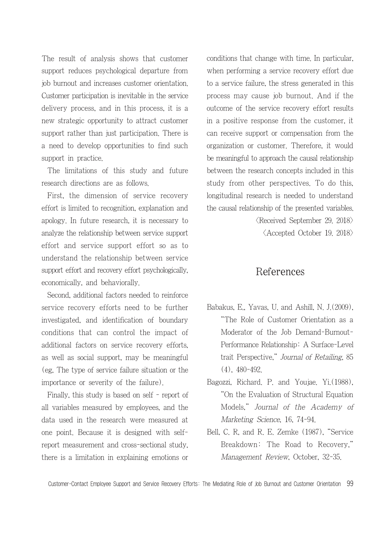The result of analysis shows that customer support reduces psychological departure from job burnout and increases customer orientation. Customer participation is inevitable in the service delivery process, and in this process, it is a new strategic opportunity to attract customer support rather than just participation. There is a need to develop opportunities to find such support in practice.

The limitations of this study and future research directions are as follows.

First, the dimension of service recovery effort is limited to recognition, explanation and apology. In future research, it is necessary to analyze the relationship between service support effort and service support effort so as to understand the relationship between service support effort and recovery effort psychologically, economically, and behaviorally.

Second, additional factors needed to reinforce service recovery efforts need to be further investigated, and identification of boundary conditions that can control the impact of additional factors on service recovery efforts, as well as social support, may be meaningful (eg, The type of service failure situation or the importance or severity of the failure).

Finally, this study is based on self - report of all variables measured by employees, and the data used in the research were measured at one point. Because it is designed with selfreport measurement and cross-sectional study, there is a limitation in explaining emotions or conditions that change with time. In particular, when performing a service recovery effort due to a service failure, the stress generated in this process may cause job burnout. And if the outcome of the service recovery effort results in a positive response from the customer, it can receive support or compensation from the organization or customer. Therefore, it would be meaningful to approach the causal relationship between the research concepts included in this study from other perspectives. To do this, longitudinal research is needed to understand the causal relationship of the presented variables.

> $\langle$ Received September 29, 2018 $\rangle$ <Accepted October 19. 2018>

## References

- Babakus, E., Yavas, U. and Ashill, N. J.(2009), "The Role of Customer Orientation as a Moderator of the Job Demand-Burnout-Performance Relationship: A Surface-Level trait Perspective," Journal of Retailing, 85 (4), 480-492.
- Bagozzi, Richard. P. and Youjae. Yi.(1988), "On the Evaluation of Structural Equation Models," Journal of the Academy of Marketing Science, 16, 74-94.
- Bell, C. R, and R. E. Zemke (1987), "Service Breakdown: The Road to Recovery," Management Review, October, 32-35.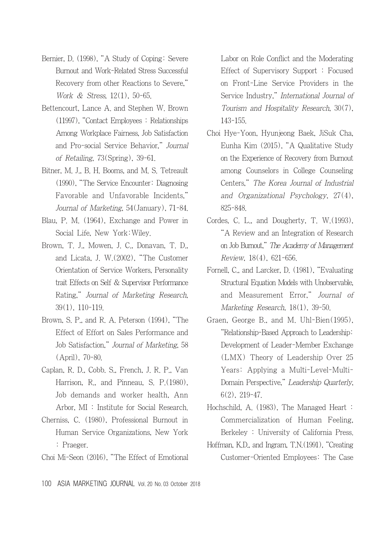- Bernier, D. (1998), "A Study of Coping: Severe Burnout and Work-Related Stress Successful Recovery from other Reactions to Severe," Work & Stress, 12(1), 50-65.
- Bettencourt, Lance A. and Stephen W. Brown (11997), "Contact Employees : Relationships Among Workplace Fairness, Job Satisfaction and Pro-social Service Behavior," Journal of Retailing, 73(Spring), 39-61.
- Bitner, M. J., B. H. Booms, and M. S. Tetreault (1990), "The Service Encounter: Diagnosing Favorable and Unfavorable Incidents," Journal of Marketing, 54(January), 71-84.
- Blau, P. M. (1964), Exchange and Power in Social Life, New York:Wiley.
- Brown, T. J., Mowen, J. C., Donavan, T. D., and Licata, J. W.(2002), "The Customer Orientation of Service Workers, Personality trait Effects on Self & Supervisor Performance Rating," Journal of Marketing Research, 39(1), 110-119.
- Brown, S. P., and R. A. Peterson (1994), "The Effect of Effort on Sales Performance and Job Satisfaction," Journal of Marketing, 58 (April), 70-80.
- Caplan, R. D., Cobb. S., French, J. R. P., Van Harrison, R., and Pinneau, S. P.(1980), Job demands and worker health, Ann Arbor, MI : Institute for Social Research.
- Cherniss, C. (1980), Professional Burnout in Human Service Organizations, New York : Praeger.
- Choi Mi-Seon (2016), "The Effect of Emotional

Labor on Role Conflict and the Moderating Effect of Supervisory Support : Focused on Front-Line Service Providers in the Service Industry," International Journal of Tourism and Hospitality Research, 30(7), 143-155.

- Choi Hye-Yoon, Hyunjeong Baek, JiSuk Cha, Eunha Kim (2015), "A Qualitative Study on the Experience of Recovery from Burnout among Counselors in College Counseling Centers," The Korea Journal of Industrial and Organizational Psychology, 27(4), 825-848.
- Cordes, C. L., and Dougherty, T. W.(1993), "A Review and an Integration of Research on Job Burnout," The Academy of Management Review, 18(4), 621-656.
- Fornell, C., and Larcker, D. (1981), "Evaluating Structural Equation Models with Unobservable, and Measurement Error," Journal of Marketing Research, 18(1), 39-50.
- Graen, George B., and M. Uhl-Bien(1995), "Relationship-Based Approach to Leadership: Development of Leader-Member Exchange (LMX) Theory of Leadership Over 25 Years: Applying a Multi-Level-Multi-Domain Perspective," Leadership Quarterly, 6(2), 219-47.
- Hochschild, A. (1983), The Managed Heart : Commercialization of Human Feeling, Berkeley : University of California Press.
- Hoffman, K.D., and Ingram, T.N.(1991), "Creating Customer-Oriented Employees: The Case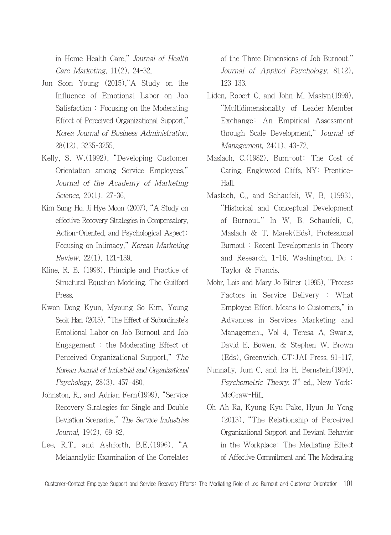in Home Health Care," Journal of Health Care Marketing, 11(2), 24-32.

- Jun Soon Young (2015),"A Study on the Influence of Emotional Labor on Job Satisfaction : Focusing on the Moderating Effect of Perceived Organizational Support," Korea Journal of Business Administration, 28(12), 3235-3255.
- Kelly, S. W.(1992), "Developing Customer Orientation among Service Employees," Journal of the Academy of Marketing Science, 20(1), 27-36.
- Kim Sung Ho, Ji Hye Moon (2007), "A Study on effective Recovery Strategies in Compensatory, Action-Oriented, and Psychological Aspect: Focusing on Intimacy," Korean Marketing Review, 22(1), 121-139.
- Kline, R. B. (1998), Principle and Practice of Structural Equation Modeling, The Guilford Press.
- Kwon Dong Kyun, Myoung So Kim, Young Seok Han (2015), "The Effect of Subordinate's Emotional Labor on Job Burnout and Job Engagement : the Moderating Effect of Perceived Organizational Support," The Korean Journal of Industrial and Organizational Psychology, 28(3), 457-480.
- Johnston, R., and Adrian Fern(1999), "Service Recovery Strategies for Single and Double Deviation Scenarios," The Service Industries Journal, 19(2), 69-82.
- Lee, R.T., and Ashforth, B.E.(1996), "A Metaanalytic Examination of the Correlates

of the Three Dimensions of Job Burnout," Journal of Applied Psychology, 81(2), 123-133.

- Liden, Robert C. and John M. Maslyn(1998), "Multidimensionality of Leader-Member Exchange: An Empirical Assessment through Scale Development," Journal of Management, 24(1), 43-72.
- Maslach, C.(1982), Burn-out: The Cost of Caring, Englewood Cliffs, NY: Prentice-Hall.
- Maslach, C., and Schaufeli, W. B. (1993), "Historical and Conceptual Development of Burnout," In W. B. Schaufeli, C. Maslach & T. Marek(Eds), Professional Burnout : Recent Developments in Theory and Research, 1-16, Washington, Dc : Taylor & Francis.
- Mohr, Lois and Mary Jo Bitner (1995), "Process Factors in Service Delivery : What Employee Effort Means to Customers," in Advances in Services Marketing and Management, Vol 4, Teresa A. Swartz, David E. Bowen, & Stephen W. Brown (Eds), Greenwich, CT:JAI Press, 91-117.
- Nunnally, Jum C. and Ira H. Bernstein(1994), Psychometric Theory, 3<sup>rd</sup> ed., New York: McGraw-Hill.
- Oh Ah Ra, Kyung Kyu Pake, Hyun Ju Yong (2013), "The Relationship of Perceived Organizational Support and Deviant Behavior in the Workplace: The Mediating Effect of Affective Commitment and The Moderating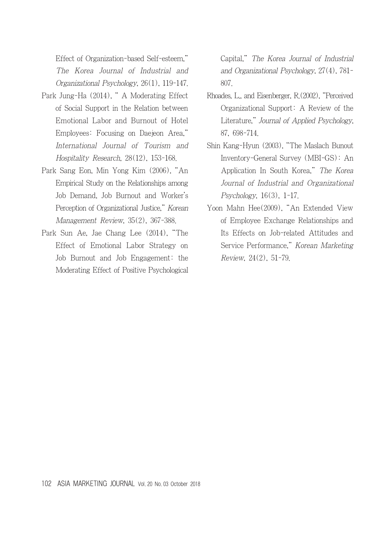Effect of Organization-based Self-esteem," The Korea Journal of Industrial and Organizational Psychology, 26(1), 119-147.

- Park Jung-Ha (2014), " A Moderating Effect of Social Support in the Relation between Emotional Labor and Burnout of Hotel Employees: Focusing on Daejeon Area," International Journal of Tourism and Hospitality Research, 28(12), 153-168.
- Park Sang Eon, Min Yong Kim (2006), "An Empirical Study on the Relationships among Job Demand, Job Burnout and Worker's Perception of Organizational Justice," Korean Management Review, 35(2), 367-388.
- Park Sun Ae, Jae Chang Lee (2014), "The Effect of Emotional Labor Strategy on Job Burnout and Job Engagement: the Moderating Effect of Positive Psychological

 Capital," The Korea Journal of Industrial and Organizational Psychology, 27(4), 781- 807.

- Rhoades, L., and Eisenberger, R.(2002), "Perceived Organizational Support: A Review of the Literature," Journal of Applied Psychology, 87, 698-714.
- Shin Kang-Hyun (2003), "The Maslach Bunout Inventory-General Survey (MBI-GS): An Application In South Korea," The Korea Journal of Industrial and Organizational Psychology, 16(3), 1-17.
- Yoon Mahn Hee(2009), "An Extended View of Employee Exchange Relationships and Its Effects on Job-related Attitudes and Service Performance," Korean Marketing Review, 24(2), 51-79.